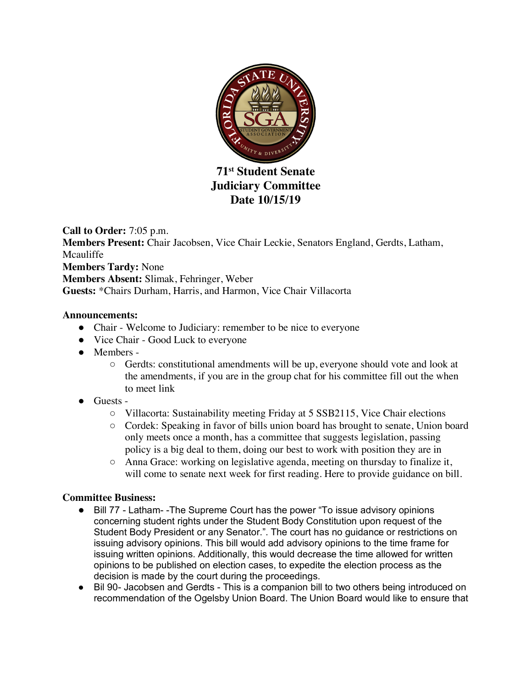

**71st Student Senate Judiciary Committee Date 10/15/19**

**Call to Order:** 7:05 p.m. **Members Present:** Chair Jacobsen, Vice Chair Leckie, Senators England, Gerdts, Latham, Mcauliffe **Members Tardy:** None **Members Absent:** Slimak, Fehringer, Weber **Guests:** \*Chairs Durham, Harris, and Harmon, Vice Chair Villacorta

### **Announcements:**

- Chair Welcome to Judiciary: remember to be nice to everyone
- Vice Chair Good Luck to everyone
- Members
	- Gerdts: constitutional amendments will be up, everyone should vote and look at the amendments, if you are in the group chat for his committee fill out the when to meet link
- Guests -
	- Villacorta: Sustainability meeting Friday at 5 SSB2115, Vice Chair elections
	- Cordek: Speaking in favor of bills union board has brought to senate, Union board only meets once a month, has a committee that suggests legislation, passing policy is a big deal to them, doing our best to work with position they are in
	- $\circ$  Anna Grace: working on legislative agenda, meeting on thursday to finalize it, will come to senate next week for first reading. Here to provide guidance on bill.

## **Committee Business:**

- Bill 77 Latham -The Supreme Court has the power "To issue advisory opinions concerning student rights under the Student Body Constitution upon request of the Student Body President or any Senator.". The court has no guidance or restrictions on issuing advisory opinions. This bill would add advisory opinions to the time frame for issuing written opinions. Additionally, this would decrease the time allowed for written opinions to be published on election cases, to expedite the election process as the decision is made by the court during the proceedings.
- Bil 90- Jacobsen and Gerdts This is a companion bill to two others being introduced on recommendation of the Ogelsby Union Board. The Union Board would like to ensure that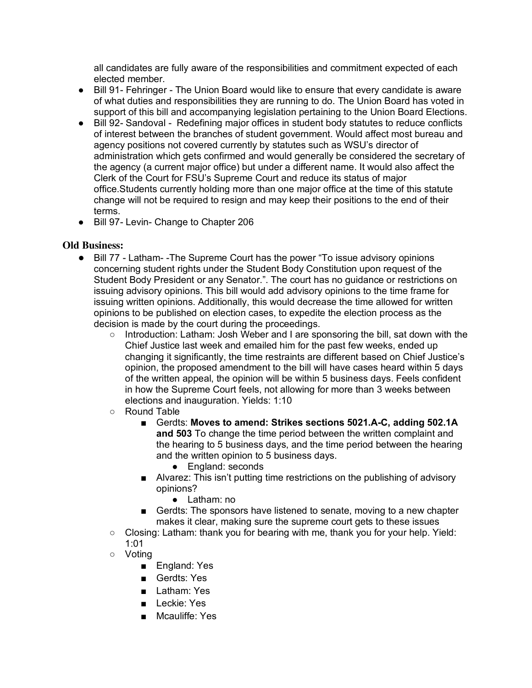all candidates are fully aware of the responsibilities and commitment expected of each elected member.

- Bill 91- Fehringer The Union Board would like to ensure that every candidate is aware of what duties and responsibilities they are running to do. The Union Board has voted in support of this bill and accompanying legislation pertaining to the Union Board Elections.
- Bill 92- Sandoval Redefining major offices in student body statutes to reduce conflicts of interest between the branches of student government. Would affect most bureau and agency positions not covered currently by statutes such as WSU's director of administration which gets confirmed and would generally be considered the secretary of the agency (a current major office) but under a different name. It would also affect the Clerk of the Court for FSU's Supreme Court and reduce its status of major office.Students currently holding more than one major office at the time of this statute change will not be required to resign and may keep their positions to the end of their terms.
- Bill 97- Levin- Change to Chapter 206

### **Old Business:**

- Bill 77 Latham- -The Supreme Court has the power "To issue advisory opinions concerning student rights under the Student Body Constitution upon request of the Student Body President or any Senator.". The court has no guidance or restrictions on issuing advisory opinions. This bill would add advisory opinions to the time frame for issuing written opinions. Additionally, this would decrease the time allowed for written opinions to be published on election cases, to expedite the election process as the decision is made by the court during the proceedings.
	- Introduction: Latham: Josh Weber and I are sponsoring the bill, sat down with the Chief Justice last week and emailed him for the past few weeks, ended up changing it significantly, the time restraints are different based on Chief Justice's opinion, the proposed amendment to the bill will have cases heard within 5 days of the written appeal, the opinion will be within 5 business days. Feels confident in how the Supreme Court feels, not allowing for more than 3 weeks between elections and inauguration. Yields: 1:10
	- Round Table
		- Gerdts: Moves to amend: Strikes sections 5021.A-C, adding 502.1A **and 503** To change the time period between the written complaint and the hearing to 5 business days, and the time period between the hearing and the written opinion to 5 business days.
			- England: seconds
		- Alvarez: This isn't putting time restrictions on the publishing of advisory opinions?
			- Latham: no
		- Gerdts: The sponsors have listened to senate, moving to a new chapter makes it clear, making sure the supreme court gets to these issues
	- Closing: Latham: thank you for bearing with me, thank you for your help. Yield: 1:01
	- Voting
		- England: Yes
		- Gerdts: Yes
		- Latham: Yes
		- Leckie: Yes
		- Mcauliffe: Yes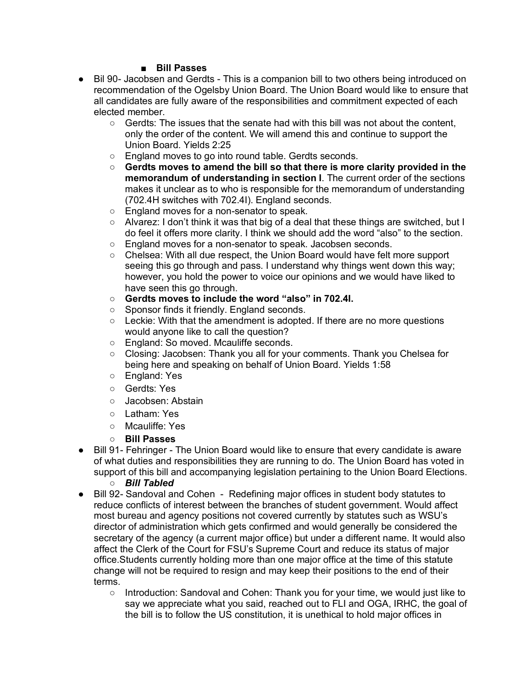### ■ **Bill Passes**

- Bil 90- Jacobsen and Gerdts This is a companion bill to two others being introduced on recommendation of the Ogelsby Union Board. The Union Board would like to ensure that all candidates are fully aware of the responsibilities and commitment expected of each elected member.
	- Gerdts: The issues that the senate had with this bill was not about the content, only the order of the content. We will amend this and continue to support the Union Board. Yields 2:25
	- England moves to go into round table. Gerdts seconds.
	- **Gerdts moves to amend the bill so that there is more clarity provided in the memorandum of understanding in section I**. The current order of the sections makes it unclear as to who is responsible for the memorandum of understanding (702.4H switches with 702.4I). England seconds.
	- England moves for a non-senator to speak.
	- $\circ$  Alvarez: I don't think it was that big of a deal that these things are switched, but I do feel it offers more clarity. I think we should add the word "also" to the section.
	- England moves for a non-senator to speak. Jacobsen seconds.
	- Chelsea: With all due respect, the Union Board would have felt more support seeing this go through and pass. I understand why things went down this way; however, you hold the power to voice our opinions and we would have liked to have seen this go through.
	- **Gerdts moves to include the word "also" in 702.4I.**
	- Sponsor finds it friendly. England seconds.
	- $\circ$  Leckie: With that the amendment is adopted. If there are no more questions would anyone like to call the question?
	- England: So moved. Mcauliffe seconds.
	- Closing: Jacobsen: Thank you all for your comments. Thank you Chelsea for being here and speaking on behalf of Union Board. Yields 1:58
	- England: Yes
	- Gerdts: Yes
	- Jacobsen: Abstain
	- Latham: Yes
	- Mcauliffe: Yes
	- **Bill Passes**
- Bill 91- Fehringer The Union Board would like to ensure that every candidate is aware of what duties and responsibilities they are running to do. The Union Board has voted in support of this bill and accompanying legislation pertaining to the Union Board Elections.
	- *Bill Tabled*
- Bill 92- Sandoval and Cohen Redefining major offices in student body statutes to reduce conflicts of interest between the branches of student government. Would affect most bureau and agency positions not covered currently by statutes such as WSU's director of administration which gets confirmed and would generally be considered the secretary of the agency (a current major office) but under a different name. It would also affect the Clerk of the Court for FSU's Supreme Court and reduce its status of major office.Students currently holding more than one major office at the time of this statute change will not be required to resign and may keep their positions to the end of their terms.
	- Introduction: Sandoval and Cohen: Thank you for your time, we would just like to say we appreciate what you said, reached out to FLI and OGA, IRHC, the goal of the bill is to follow the US constitution, it is unethical to hold major offices in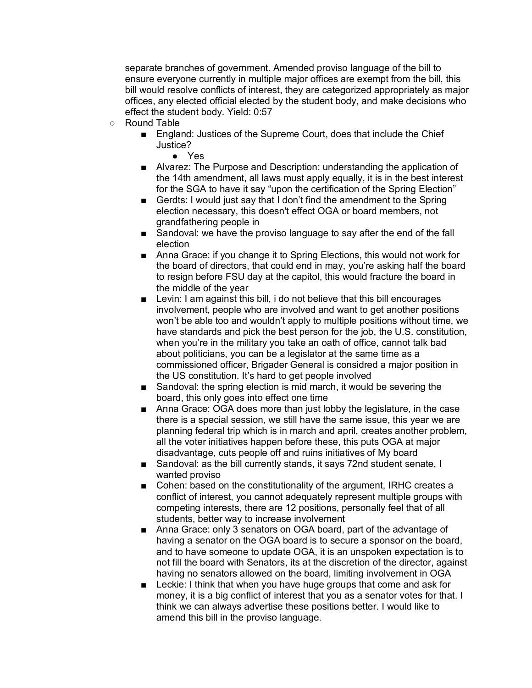separate branches of government. Amended proviso language of the bill to ensure everyone currently in multiple major offices are exempt from the bill, this bill would resolve conflicts of interest, they are categorized appropriately as major offices, any elected official elected by the student body, and make decisions who effect the student body. Yield: 0:57

- Round Table
	- England: Justices of the Supreme Court, does that include the Chief Justice?
		- Yes
	- Alvarez: The Purpose and Description: understanding the application of the 14th amendment, all laws must apply equally, it is in the best interest for the SGA to have it say "upon the certification of the Spring Election"
	- Gerdts: I would just say that I don't find the amendment to the Spring election necessary, this doesn't effect OGA or board members, not grandfathering people in
	- Sandoval: we have the proviso language to say after the end of the fall election
	- Anna Grace: if you change it to Spring Elections, this would not work for the board of directors, that could end in may, you're asking half the board to resign before FSU day at the capitol, this would fracture the board in the middle of the year
	- Levin: I am against this bill, i do not believe that this bill encourages involvement, people who are involved and want to get another positions won't be able too and wouldn't apply to multiple positions without time, we have standards and pick the best person for the job, the U.S. constitution, when you're in the military you take an oath of office, cannot talk bad about politicians, you can be a legislator at the same time as a commissioned officer, Brigader General is considred a major position in the US constitution. It's hard to get people involved
	- Sandoval: the spring election is mid march, it would be severing the board, this only goes into effect one time
	- Anna Grace: OGA does more than just lobby the legislature, in the case there is a special session, we still have the same issue, this year we are planning federal trip which is in march and april, creates another problem, all the voter initiatives happen before these, this puts OGA at major disadvantage, cuts people off and ruins initiatives of My board
	- Sandoval: as the bill currently stands, it says 72nd student senate, I wanted proviso
	- Cohen: based on the constitutionality of the argument, IRHC creates a conflict of interest, you cannot adequately represent multiple groups with competing interests, there are 12 positions, personally feel that of all students, better way to increase involvement
	- Anna Grace: only 3 senators on OGA board, part of the advantage of having a senator on the OGA board is to secure a sponsor on the board, and to have someone to update OGA, it is an unspoken expectation is to not fill the board with Senators, its at the discretion of the director, against having no senators allowed on the board, limiting involvement in OGA
	- Leckie: I think that when you have huge groups that come and ask for money, it is a big conflict of interest that you as a senator votes for that. I think we can always advertise these positions better. I would like to amend this bill in the proviso language.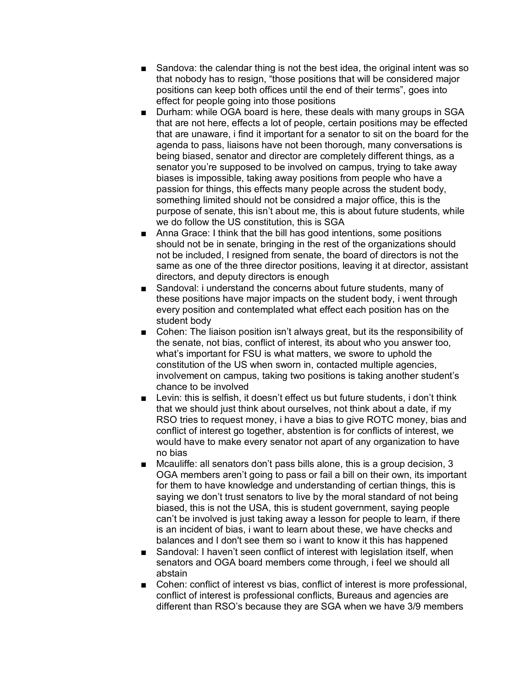- Sandova: the calendar thing is not the best idea, the original intent was so that nobody has to resign, "those positions that will be considered major positions can keep both offices until the end of their terms", goes into effect for people going into those positions
- Durham: while OGA board is here, these deals with many groups in SGA that are not here, effects a lot of people, certain positions may be effected that are unaware, i find it important for a senator to sit on the board for the agenda to pass, liaisons have not been thorough, many conversations is being biased, senator and director are completely different things, as a senator you're supposed to be involved on campus, trying to take away biases is impossible, taking away positions from people who have a passion for things, this effects many people across the student body, something limited should not be considred a major office, this is the purpose of senate, this isn't about me, this is about future students, while we do follow the US constitution, this is SGA
- Anna Grace: I think that the bill has good intentions, some positions should not be in senate, bringing in the rest of the organizations should not be included, I resigned from senate, the board of directors is not the same as one of the three director positions, leaving it at director, assistant directors, and deputy directors is enough
- Sandoval: i understand the concerns about future students, many of these positions have major impacts on the student body, i went through every position and contemplated what effect each position has on the student body
- Cohen: The liaison position isn't always great, but its the responsibility of the senate, not bias, conflict of interest, its about who you answer too, what's important for FSU is what matters, we swore to uphold the constitution of the US when sworn in, contacted multiple agencies, involvement on campus, taking two positions is taking another student's chance to be involved
- Levin: this is selfish, it doesn't effect us but future students, i don't think that we should just think about ourselves, not think about a date, if my RSO tries to request money, i have a bias to give ROTC money, bias and conflict of interest go together, abstention is for conflicts of interest, we would have to make every senator not apart of any organization to have no bias
- Mcauliffe: all senators don't pass bills alone, this is a group decision, 3 OGA members aren't going to pass or fail a bill on their own, its important for them to have knowledge and understanding of certian things, this is saying we don't trust senators to live by the moral standard of not being biased, this is not the USA, this is student government, saying people can't be involved is just taking away a lesson for people to learn, if there is an incident of bias, i want to learn about these, we have checks and balances and I don't see them so i want to know it this has happened
- Sandoval: I haven't seen conflict of interest with legislation itself, when senators and OGA board members come through, i feel we should all abstain
- Cohen: conflict of interest vs bias, conflict of interest is more professional, conflict of interest is professional conflicts, Bureaus and agencies are different than RSO's because they are SGA when we have 3/9 members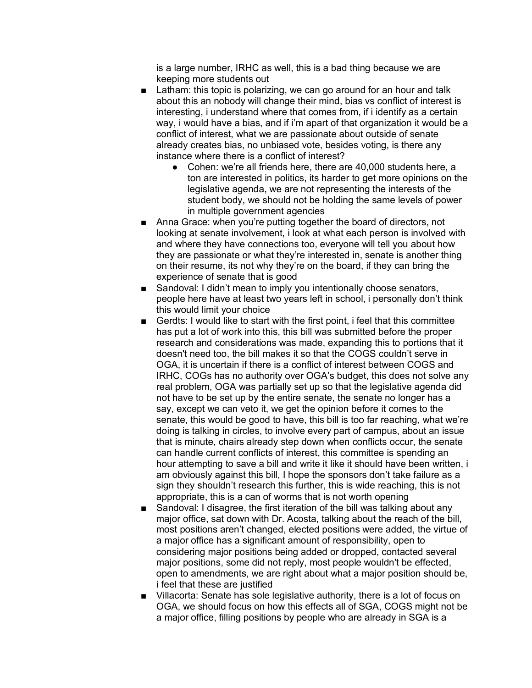is a large number, IRHC as well, this is a bad thing because we are keeping more students out

- Latham: this topic is polarizing, we can go around for an hour and talk about this an nobody will change their mind, bias vs conflict of interest is interesting, i understand where that comes from, if i identify as a certain way, i would have a bias, and if i'm apart of that organization it would be a conflict of interest, what we are passionate about outside of senate already creates bias, no unbiased vote, besides voting, is there any instance where there is a conflict of interest?
	- Cohen: we're all friends here, there are 40,000 students here, a ton are interested in politics, its harder to get more opinions on the legislative agenda, we are not representing the interests of the student body, we should not be holding the same levels of power in multiple government agencies
- Anna Grace: when you're putting together the board of directors, not looking at senate involvement, i look at what each person is involved with and where they have connections too, everyone will tell you about how they are passionate or what they're interested in, senate is another thing on their resume, its not why they're on the board, if they can bring the experience of senate that is good
- Sandoval: I didn't mean to imply you intentionally choose senators, people here have at least two years left in school, i personally don't think this would limit your choice
- Gerdts: I would like to start with the first point, i feel that this committee has put a lot of work into this, this bill was submitted before the proper research and considerations was made, expanding this to portions that it doesn't need too, the bill makes it so that the COGS couldn't serve in OGA, it is uncertain if there is a conflict of interest between COGS and IRHC, COGs has no authority over OGA's budget, this does not solve any real problem, OGA was partially set up so that the legislative agenda did not have to be set up by the entire senate, the senate no longer has a say, except we can veto it, we get the opinion before it comes to the senate, this would be good to have, this bill is too far reaching, what we're doing is talking in circles, to involve every part of campus, about an issue that is minute, chairs already step down when conflicts occur, the senate can handle current conflicts of interest, this committee is spending an hour attempting to save a bill and write it like it should have been written, i am obviously against this bill, I hope the sponsors don't take failure as a sign they shouldn't research this further, this is wide reaching, this is not appropriate, this is a can of worms that is not worth opening
- Sandoval: I disagree, the first iteration of the bill was talking about any major office, sat down with Dr. Acosta, talking about the reach of the bill, most positions aren't changed, elected positions were added, the virtue of a major office has a significant amount of responsibility, open to considering major positions being added or dropped, contacted several major positions, some did not reply, most people wouldn't be effected, open to amendments, we are right about what a major position should be, i feel that these are justified
- Villacorta: Senate has sole legislative authority, there is a lot of focus on OGA, we should focus on how this effects all of SGA, COGS might not be a major office, filling positions by people who are already in SGA is a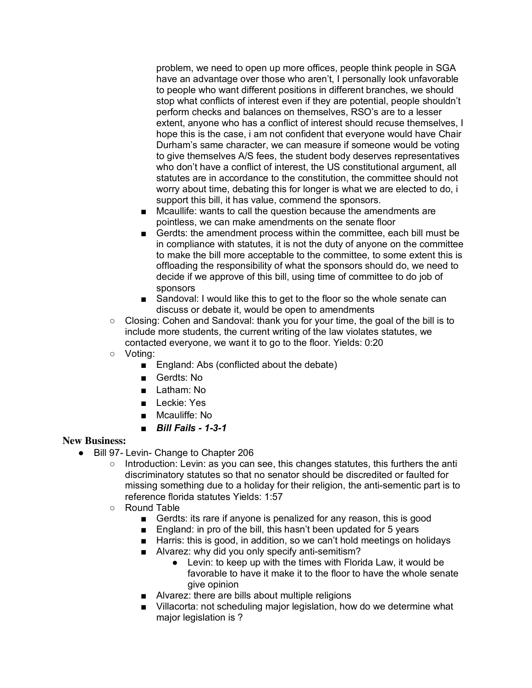problem, we need to open up more offices, people think people in SGA have an advantage over those who aren't, I personally look unfavorable to people who want different positions in different branches, we should stop what conflicts of interest even if they are potential, people shouldn't perform checks and balances on themselves, RSO's are to a lesser extent, anyone who has a conflict of interest should recuse themselves, I hope this is the case, i am not confident that everyone would have Chair Durham's same character, we can measure if someone would be voting to give themselves A/S fees, the student body deserves representatives who don't have a conflict of interest, the US constitutional argument, all statutes are in accordance to the constitution, the committee should not worry about time, debating this for longer is what we are elected to do, i support this bill, it has value, commend the sponsors.

- Mcaullife: wants to call the question because the amendments are pointless, we can make amendments on the senate floor
- Gerdts: the amendment process within the committee, each bill must be in compliance with statutes, it is not the duty of anyone on the committee to make the bill more acceptable to the committee, to some extent this is offloading the responsibility of what the sponsors should do, we need to decide if we approve of this bill, using time of committee to do job of sponsors
- Sandoval: I would like this to get to the floor so the whole senate can discuss or debate it, would be open to amendments
- $\circ$  Closing: Cohen and Sandoval: thank you for your time, the goal of the bill is to include more students, the current writing of the law violates statutes, we contacted everyone, we want it to go to the floor. Yields: 0:20
- Voting:
	- England: Abs (conflicted about the debate)
	- Gerdts: No
	- Latham: No
	- Leckie: Yes
	- Mcauliffe: No
	- *Bill Fails - 1-3-1*

#### **New Business:**

- Bill 97- Levin- Change to Chapter 206
	- $\circ$  Introduction: Levin: as you can see, this changes statutes, this furthers the anti discriminatory statutes so that no senator should be discredited or faulted for missing something due to a holiday for their religion, the anti-sementic part is to reference florida statutes Yields: 1:57
	- Round Table
		- Gerdts: its rare if anyone is penalized for any reason, this is good
		- England: in pro of the bill, this hasn't been updated for 5 years
		- Harris: this is good, in addition, so we can't hold meetings on holidays
		- Alvarez: why did you only specify anti-semitism?
			- Levin: to keep up with the times with Florida Law, it would be favorable to have it make it to the floor to have the whole senate give opinion
		- Alvarez: there are bills about multiple religions
		- Villacorta: not scheduling major legislation, how do we determine what major legislation is ?